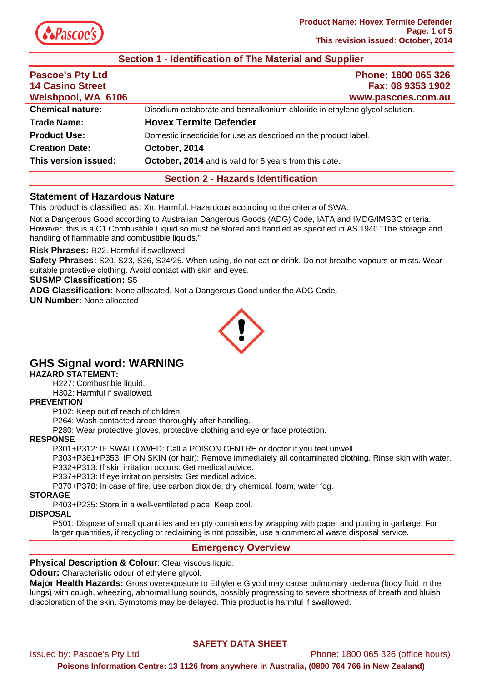

# **Section 1 - Identification of The Material and Supplier**

| Phone: 1800 065 326<br>Fax: 08 9353 1902                                   |
|----------------------------------------------------------------------------|
| www.pascoes.com.au                                                         |
| Disodium octaborate and benzalkonium chloride in ethylene glycol solution. |
| <b>Hovex Termite Defender</b>                                              |
| Domestic insecticide for use as described on the product label.            |
| October, 2014                                                              |
| October, 2014 and is valid for 5 years from this date.                     |
|                                                                            |

#### **Section 2 - Hazards Identification**

#### **Statement of Hazardous Nature**

This product is classified as: Xn, Harmful. Hazardous according to the criteria of SWA.

Not a Dangerous Good according to Australian Dangerous Goods (ADG) Code, IATA and IMDG/IMSBC criteria. However, this is a C1 Combustible Liquid so must be stored and handled as specified in AS 1940 "The storage and handling of flammable and combustible liquids."

**Risk Phrases:** R22. Harmful if swallowed.

**Safety Phrases:** S20, S23, S36, S24/25. When using, do not eat or drink. Do not breathe vapours or mists. Wear suitable protective clothing. Avoid contact with skin and eyes.

## **SUSMP Classification:** S5

**ADG Classification:** None allocated. Not a Dangerous Good under the ADG Code.

**UN Number:** None allocated



# **GHS Signal word: WARNING**

#### **HAZARD STATEMENT:**

H227: Combustible liquid.

H302: Harmful if swallowed.

#### **PREVENTION**

P102: Keep out of reach of children.

P264: Wash contacted areas thoroughly after handling.

P280: Wear protective gloves, protective clothing and eye or face protection.

#### **RESPONSE**

P301+P312: IF SWALLOWED: Call a POISON CENTRE or doctor if you feel unwell.

P303+P361+P353: IF ON SKIN (or hair): Remove immediately all contaminated clothing. Rinse skin with water. P332+P313: If skin irritation occurs: Get medical advice.

P337+P313: If eye irritation persists: Get medical advice.

P370+P378: In case of fire, use carbon dioxide, dry chemical, foam, water fog.

#### **STORAGE**

P403+P235: Store in a well-ventilated place. Keep cool.

#### **DISPOSAL**

P501: Dispose of small quantities and empty containers by wrapping with paper and putting in garbage. For larger quantities, if recycling or reclaiming is not possible, use a commercial waste disposal service.

## **Emergency Overview**

#### **Physical Description & Colour: Clear viscous liquid.**

**Odour:** Characteristic odour of ethylene glycol.

**Major Health Hazards:** Gross overexposure to Ethylene Glycol may cause pulmonary oedema (body fluid in the lungs) with cough, wheezing, abnormal lung sounds, possibly progressing to severe shortness of breath and bluish discoloration of the skin. Symptoms may be delayed. This product is harmful if swallowed.

## **SAFETY DATA SHEET**

Issued by: Pascoe's Pty Ltd Phone: 1800 065 326 (office hours)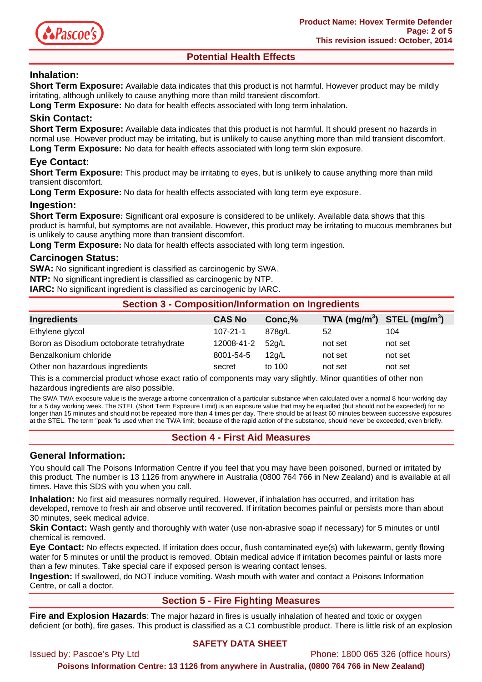

# **Potential Health Effects**

# **Inhalation:**

**Short Term Exposure:** Available data indicates that this product is not harmful. However product may be mildly irritating, although unlikely to cause anything more than mild transient discomfort.

**Long Term Exposure:** No data for health effects associated with long term inhalation.

## **Skin Contact:**

**Short Term Exposure:** Available data indicates that this product is not harmful. It should present no hazards in normal use. However product may be irritating, but is unlikely to cause anything more than mild transient discomfort. **Long Term Exposure:** No data for health effects associated with long term skin exposure.

# **Eye Contact:**

**Short Term Exposure:** This product may be irritating to eyes, but is unlikely to cause anything more than mild transient discomfort.

Long Term Exposure: No data for health effects associated with long term eye exposure.

#### **Ingestion:**

**Short Term Exposure:** Significant oral exposure is considered to be unlikely. Available data shows that this product is harmful, but symptoms are not available. However, this product may be irritating to mucous membranes but is unlikely to cause anything more than transient discomfort.

**Long Term Exposure:** No data for health effects associated with long term ingestion.

#### **Carcinogen Status:**

**SWA:** No significant ingredient is classified as carcinogenic by SWA.

**NTP:** No significant ingredient is classified as carcinogenic by NTP.

**IARC:** No significant ingredient is classified as carcinogenic by IARC.

| <b>Section 3 - Composition/Information on Ingredients</b> |                |        |                                                    |         |
|-----------------------------------------------------------|----------------|--------|----------------------------------------------------|---------|
| <b>Ingredients</b>                                        | <b>CAS No</b>  | Conc,% | TWA (mg/m <sup>3</sup> ) STEL (mg/m <sup>3</sup> ) |         |
| Ethylene glycol                                           | $107 - 21 - 1$ | 878g/L | 52                                                 | 104     |
| Boron as Disodium octoborate tetrahydrate                 | 12008-41-2     | 52g/L  | not set                                            | not set |
| Benzalkonium chloride                                     | 8001-54-5      | 12q/L  | not set                                            | not set |
| Other non hazardous ingredients                           | secret         | to 100 | not set                                            | not set |

This is a commercial product whose exact ratio of components may vary slightly. Minor quantities of other non hazardous ingredients are also possible.

The SWA TWA exposure value is the average airborne concentration of a particular substance when calculated over a normal 8 hour working day for a 5 day working week. The STEL (Short Term Exposure Limit) is an exposure value that may be equalled (but should not be exceeded) for no longer than 15 minutes and should not be repeated more than 4 times per day. There should be at least 60 minutes between successive exposures at the STEL. The term "peak "is used when the TWA limit, because of the rapid action of the substance, should never be exceeded, even briefly.

# **Section 4 - First Aid Measures**

## **General Information:**

You should call The Poisons Information Centre if you feel that you may have been poisoned, burned or irritated by this product. The number is 13 1126 from anywhere in Australia (0800 764 766 in New Zealand) and is available at all times. Have this SDS with you when you call.

**Inhalation:** No first aid measures normally required. However, if inhalation has occurred, and irritation has developed, remove to fresh air and observe until recovered. If irritation becomes painful or persists more than about 30 minutes, seek medical advice.

**Skin Contact:** Wash gently and thoroughly with water (use non-abrasive soap if necessary) for 5 minutes or until chemical is removed.

**Eye Contact:** No effects expected. If irritation does occur, flush contaminated eye(s) with lukewarm, gently flowing water for 5 minutes or until the product is removed. Obtain medical advice if irritation becomes painful or lasts more than a few minutes. Take special care if exposed person is wearing contact lenses.

**Ingestion:** If swallowed, do NOT induce vomiting. Wash mouth with water and contact a Poisons Information Centre, or call a doctor.

# **Section 5 - Fire Fighting Measures**

**Fire and Explosion Hazards**: The major hazard in fires is usually inhalation of heated and toxic or oxygen deficient (or both), fire gases. This product is classified as a C1 combustible product. There is little risk of an explosion

## **SAFETY DATA SHEET**

Issued by: Pascoe's Pty Ltd Phone: 1800 065 326 (office hours)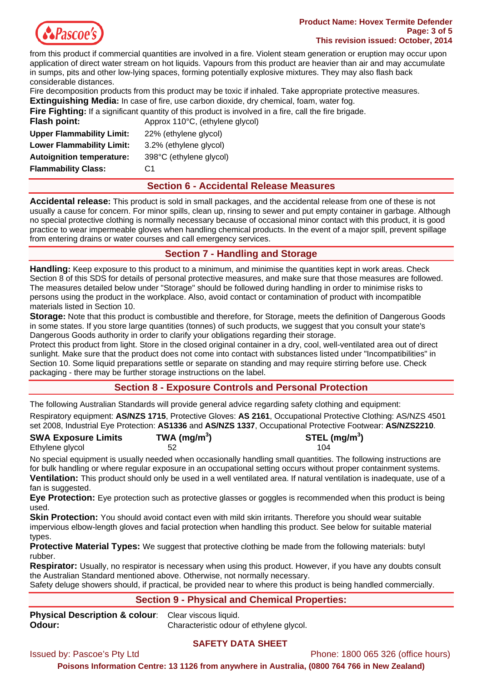

#### **Product Name: Hovex Termite Defender Page: 3 of 5 This revision issued: October, 2014**

from this product if commercial quantities are involved in a fire. Violent steam generation or eruption may occur upon application of direct water stream on hot liquids. Vapours from this product are heavier than air and may accumulate in sumps, pits and other low-lying spaces, forming potentially explosive mixtures. They may also flash back considerable distances.

Fire decomposition products from this product may be toxic if inhaled. Take appropriate protective measures.

**Extinguishing Media:** In case of fire, use carbon dioxide, dry chemical, foam, water fog.

| <b>Fire Fighting:</b> If a significant quantity of this product is involved in a fire, call the fire brigade. |                                 |
|---------------------------------------------------------------------------------------------------------------|---------------------------------|
| Flash point:                                                                                                  | Approx 110°C, (ethylene glycol) |
| <b>Upper Flammability Limit:</b>                                                                              | 22% (ethylene glycol)           |
| <b>Lower Flammability Limit:</b>                                                                              | 3.2% (ethylene glycol)          |
| <b>Autoignition temperature:</b>                                                                              | 398°C (ethylene glycol)         |
| <b>Flammability Class:</b>                                                                                    | C1                              |

## **Section 6 - Accidental Release Measures**

**Accidental release:** This product is sold in small packages, and the accidental release from one of these is not usually a cause for concern. For minor spills, clean up, rinsing to sewer and put empty container in garbage. Although no special protective clothing is normally necessary because of occasional minor contact with this product, it is good practice to wear impermeable gloves when handling chemical products. In the event of a major spill, prevent spillage from entering drains or water courses and call emergency services.

# **Section 7 - Handling and Storage**

**Handling:** Keep exposure to this product to a minimum, and minimise the quantities kept in work areas. Check Section 8 of this SDS for details of personal protective measures, and make sure that those measures are followed. The measures detailed below under "Storage" should be followed during handling in order to minimise risks to persons using the product in the workplace. Also, avoid contact or contamination of product with incompatible materials listed in Section 10.

**Storage:** Note that this product is combustible and therefore, for Storage, meets the definition of Dangerous Goods in some states. If you store large quantities (tonnes) of such products, we suggest that you consult your state's Dangerous Goods authority in order to clarify your obligations regarding their storage.

Protect this product from light. Store in the closed original container in a dry, cool, well-ventilated area out of direct sunlight. Make sure that the product does not come into contact with substances listed under "Incompatibilities" in Section 10. Some liquid preparations settle or separate on standing and may require stirring before use. Check packaging - there may be further storage instructions on the label.

# **Section 8 - Exposure Controls and Personal Protection**

The following Australian Standards will provide general advice regarding safety clothing and equipment:

Respiratory equipment: **AS/NZS 1715**, Protective Gloves: **AS 2161**, Occupational Protective Clothing: AS/NZS 4501 set 2008, Industrial Eye Protection: **AS1336** and **AS/NZS 1337**, Occupational Protective Footwear: **AS/NZS2210**.

| <b>SWA Exposure Limits</b> | TWA (mg/m <sup>3</sup> ) | STEL (mg/m $3$ ) |
|----------------------------|--------------------------|------------------|
| Ethylene glycol            |                          | 104              |

No special equipment is usually needed when occasionally handling small quantities. The following instructions are for bulk handling or where regular exposure in an occupational setting occurs without proper containment systems. **Ventilation:** This product should only be used in a well ventilated area. If natural ventilation is inadequate, use of a fan is suggested.

**Eye Protection:** Eye protection such as protective glasses or goggles is recommended when this product is being used.

**Skin Protection:** You should avoid contact even with mild skin irritants. Therefore you should wear suitable impervious elbow-length gloves and facial protection when handling this product. See below for suitable material types.

**Protective Material Types:** We suggest that protective clothing be made from the following materials: butyl rubber.

**Respirator:** Usually, no respirator is necessary when using this product. However, if you have any doubts consult the Australian Standard mentioned above. Otherwise, not normally necessary.

Safety deluge showers should, if practical, be provided near to where this product is being handled commercially.

## **Section 9 - Physical and Chemical Properties:**

**Physical Description & colour**: Clear viscous liquid. **Odour:** Characteristic odour of ethylene glycol.

## **SAFETY DATA SHEET**

Issued by: Pascoe's Pty Ltd **Phone: 1800 065 326 (office hours)**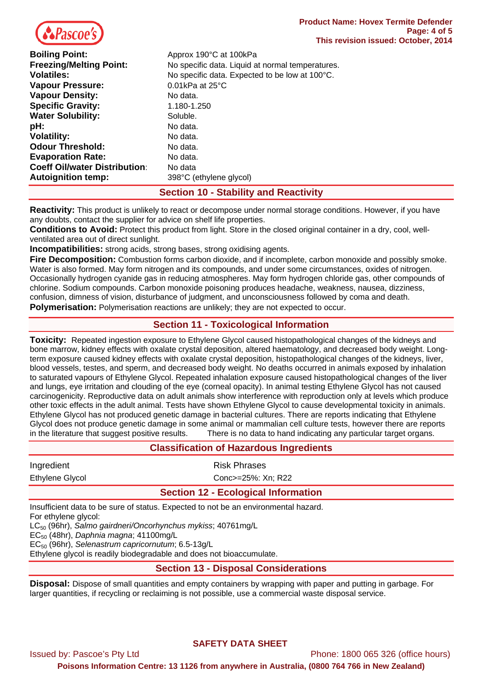

| <b>Boiling Point:</b>                | Approx 190°C at 100kPa                           |
|--------------------------------------|--------------------------------------------------|
| <b>Freezing/Melting Point:</b>       | No specific data. Liquid at normal temperatures. |
| <b>Volatiles:</b>                    | No specific data. Expected to be low at 100°C.   |
| <b>Vapour Pressure:</b>              | $0.01$ kPa at 25 $^{\circ}$ C                    |
| <b>Vapour Density:</b>               | No data.                                         |
| <b>Specific Gravity:</b>             | 1.180-1.250                                      |
| <b>Water Solubility:</b>             | Soluble.                                         |
| pH:                                  | No data.                                         |
| <b>Volatility:</b>                   | No data.                                         |
| <b>Odour Threshold:</b>              | No data.                                         |
| <b>Evaporation Rate:</b>             | No data.                                         |
| <b>Coeff Oil/water Distribution:</b> | No data                                          |
| <b>Autoignition temp:</b>            | 398°C (ethylene glycol)                          |

# **Section 10 - Stability and Reactivity**

**Reactivity:** This product is unlikely to react or decompose under normal storage conditions. However, if you have any doubts, contact the supplier for advice on shelf life properties.

**Conditions to Avoid:** Protect this product from light. Store in the closed original container in a dry, cool, wellventilated area out of direct sunlight.

**Incompatibilities:** strong acids, strong bases, strong oxidising agents.

**Fire Decomposition:** Combustion forms carbon dioxide, and if incomplete, carbon monoxide and possibly smoke. Water is also formed. May form nitrogen and its compounds, and under some circumstances, oxides of nitrogen. Occasionally hydrogen cyanide gas in reducing atmospheres. May form hydrogen chloride gas, other compounds of chlorine. Sodium compounds. Carbon monoxide poisoning produces headache, weakness, nausea, dizziness, confusion, dimness of vision, disturbance of judgment, and unconsciousness followed by coma and death. **Polymerisation:** Polymerisation reactions are unlikely; they are not expected to occur.

# **Section 11 - Toxicological Information**

**Toxicity:** Repeated ingestion exposure to Ethylene Glycol caused histopathological changes of the kidneys and bone marrow, kidney effects with oxalate crystal deposition, altered haematology, and decreased body weight. Longterm exposure caused kidney effects with oxalate crystal deposition, histopathological changes of the kidneys, liver, blood vessels, testes, and sperm, and decreased body weight. No deaths occurred in animals exposed by inhalation to saturated vapours of Ethylene Glycol. Repeated inhalation exposure caused histopathological changes of the liver and lungs, eye irritation and clouding of the eye (corneal opacity). In animal testing Ethylene Glycol has not caused carcinogenicity. Reproductive data on adult animals show interference with reproduction only at levels which produce other toxic effects in the adult animal. Tests have shown Ethylene Glycol to cause developmental toxicity in animals. Ethylene Glycol has not produced genetic damage in bacterial cultures. There are reports indicating that Ethylene Glycol does not produce genetic damage in some animal or mammalian cell culture tests, however there are reports in the literature that suggest positive results.There is no data to hand indicating any particular target organs.

| <b>Classification of Hazardous Ingredients</b>                                     |                                            |  |
|------------------------------------------------------------------------------------|--------------------------------------------|--|
| Ingredient                                                                         | <b>Risk Phrases</b>                        |  |
| Ethylene Glycol                                                                    | Conc>=25%: Xn: R22                         |  |
|                                                                                    | <b>Section 12 - Ecological Information</b> |  |
| Insufficient data to be sure of status. Expected to not be an environmental bazard |                                            |  |

Insufficient data to be sure of status. Expected to not be an environmental hazard. For ethylene glycol:

LC50 (96hr), *Salmo gairdneri/Oncorhynchus mykiss*; 40761mg/L

EC50 (48hr), *Daphnia magna*; 41100mg/L

EC50 (96hr), *Selenastrum capricornutum*; 6.5-13g/L

Ethylene glycol is readily biodegradable and does not bioaccumulate.

## **Section 13 - Disposal Considerations**

**Disposal:** Dispose of small quantities and empty containers by wrapping with paper and putting in garbage. For larger quantities, if recycling or reclaiming is not possible, use a commercial waste disposal service.

## **SAFETY DATA SHEET**

Issued by: Pascoe's Pty Ltd Phone: 1800 065 326 (office hours)